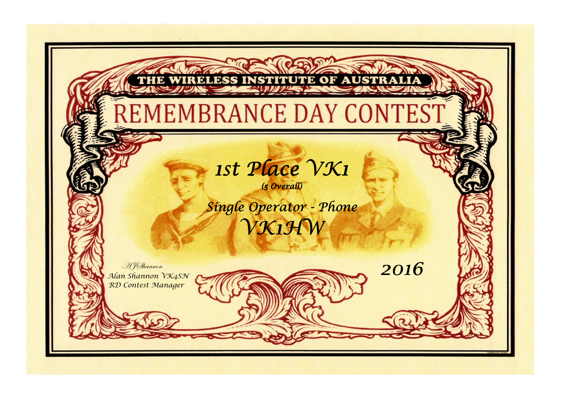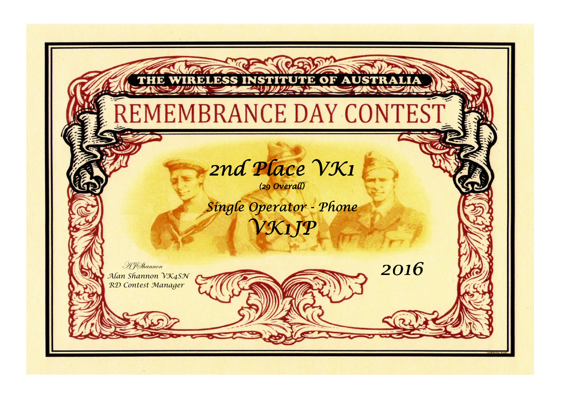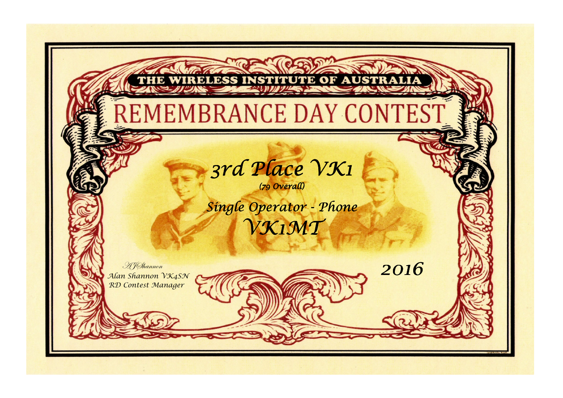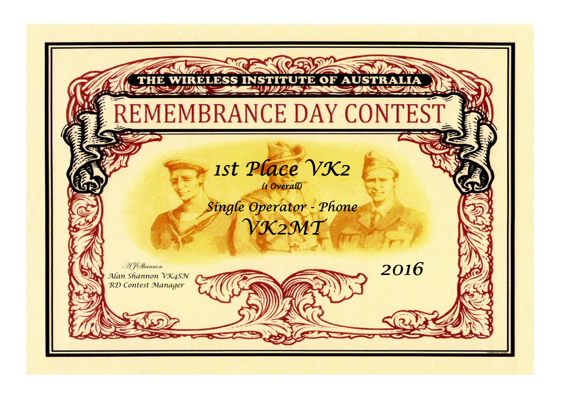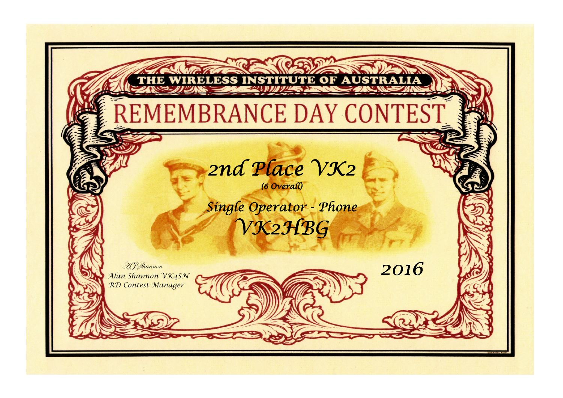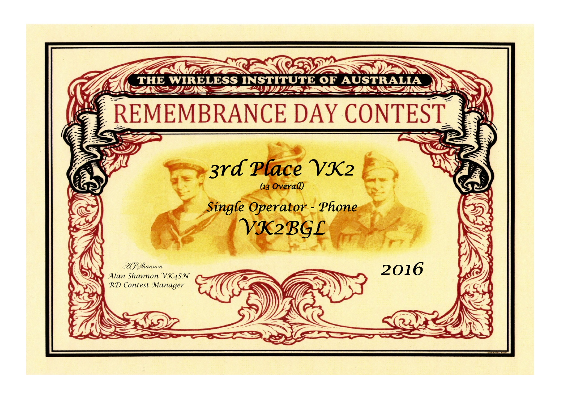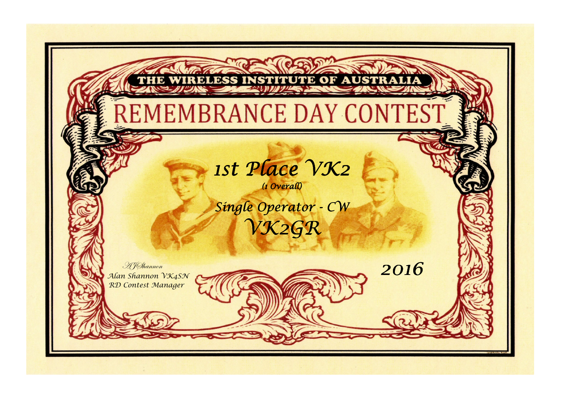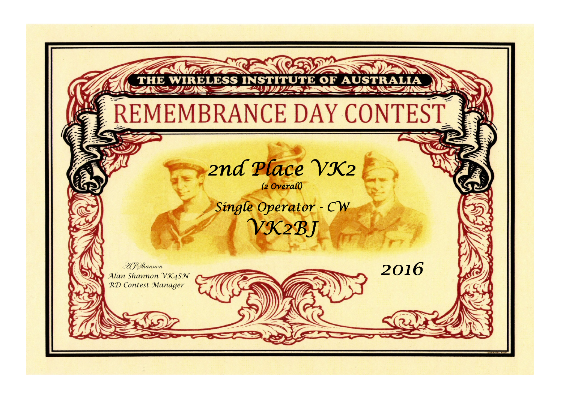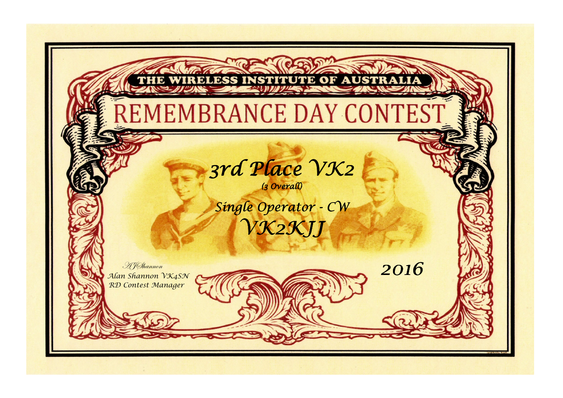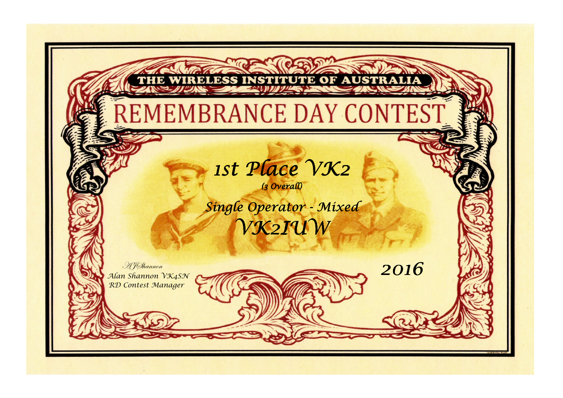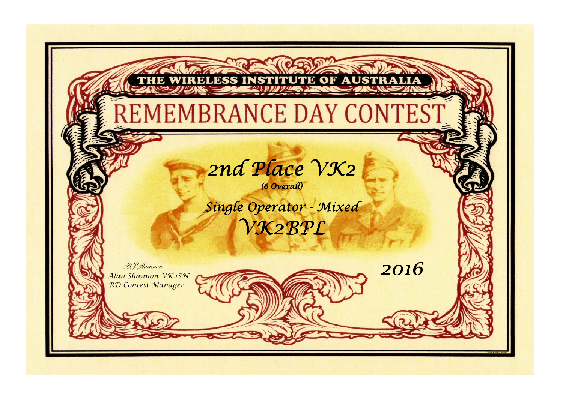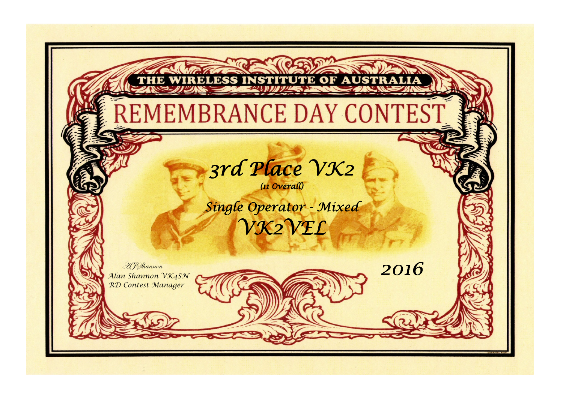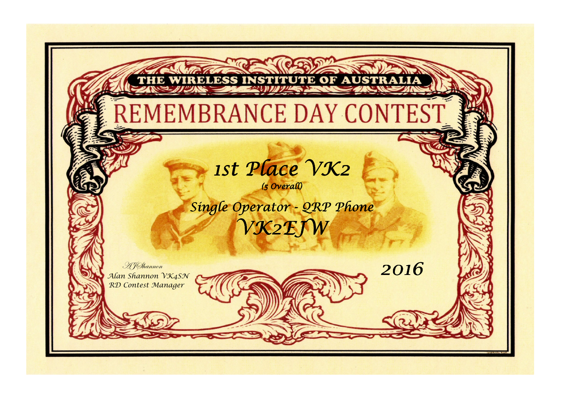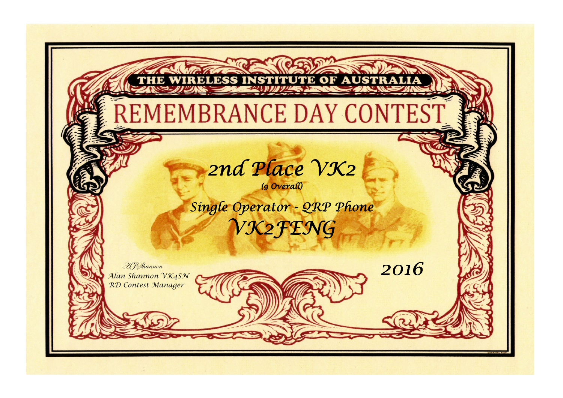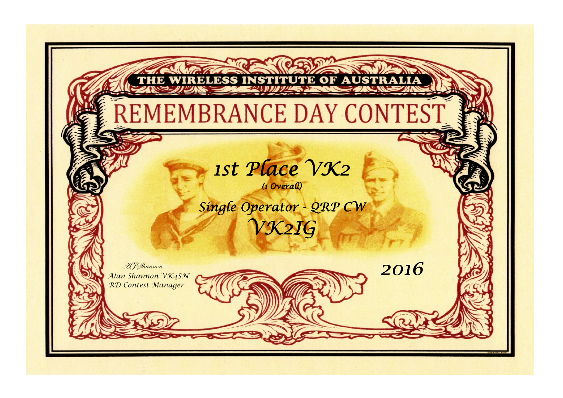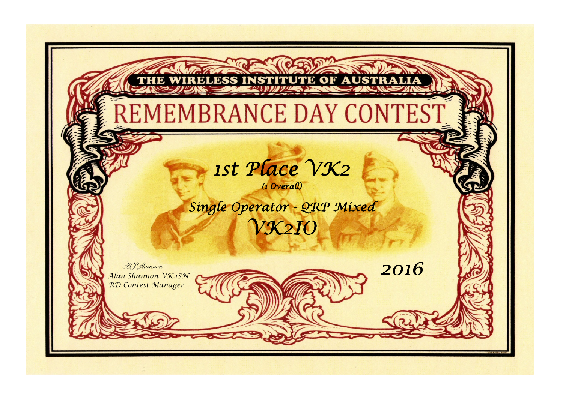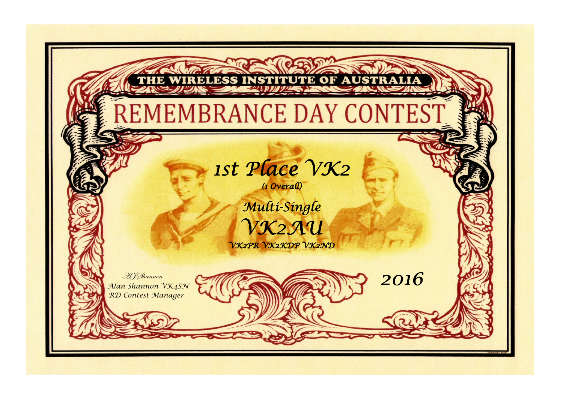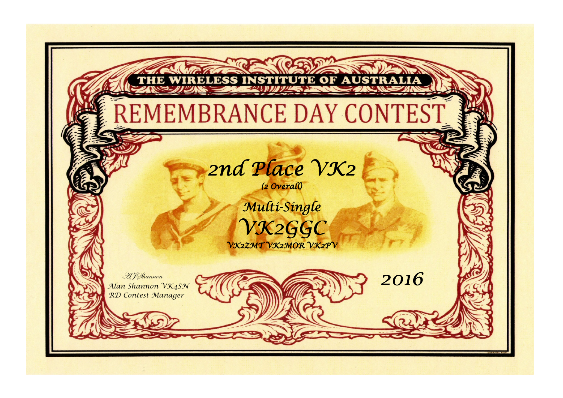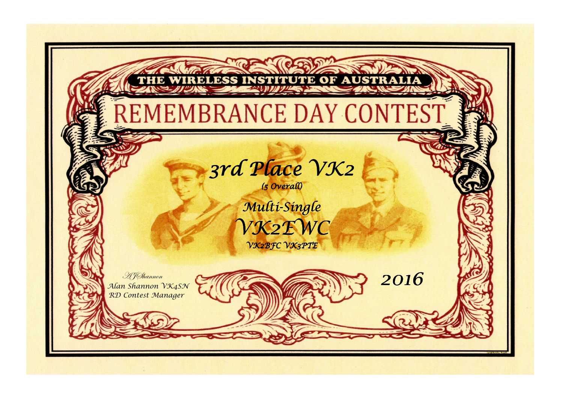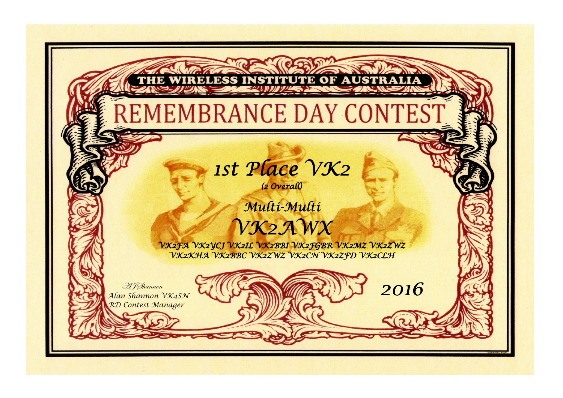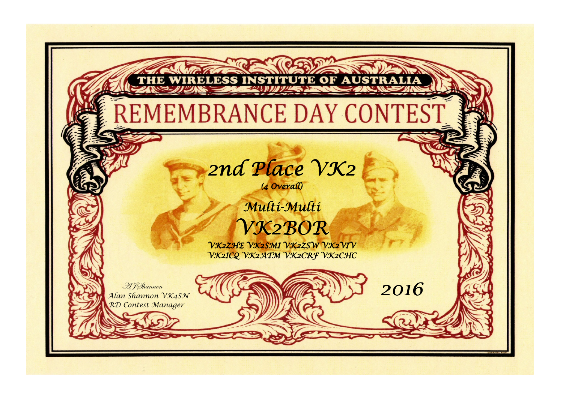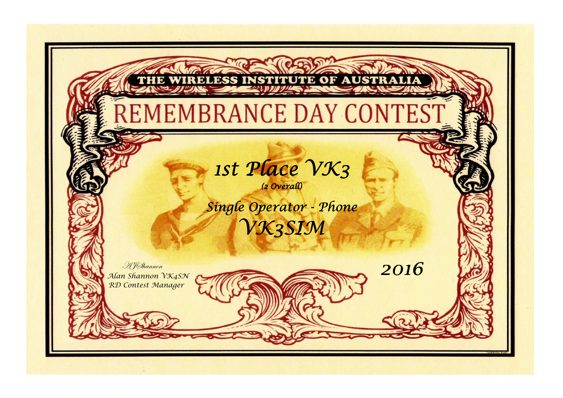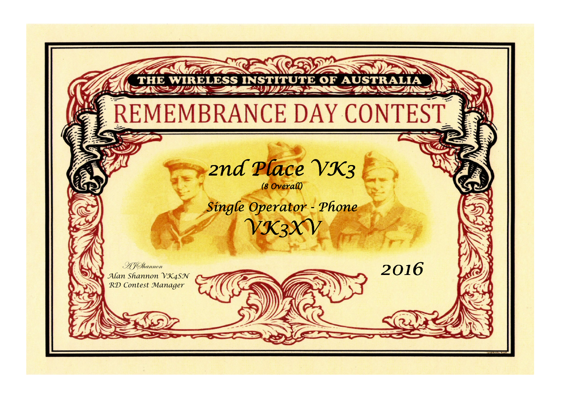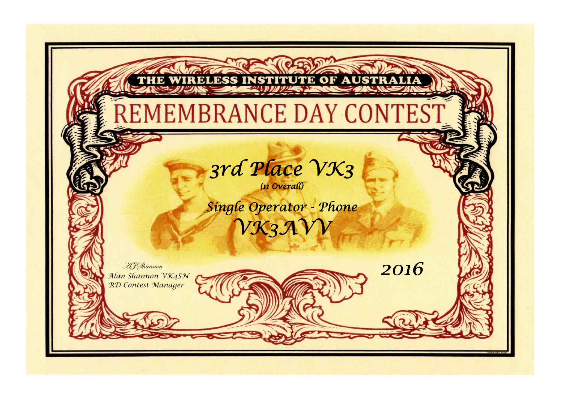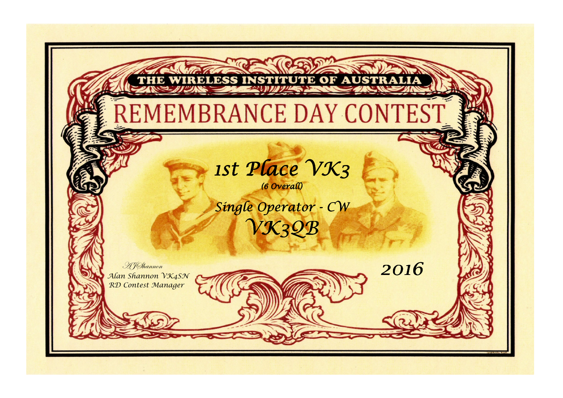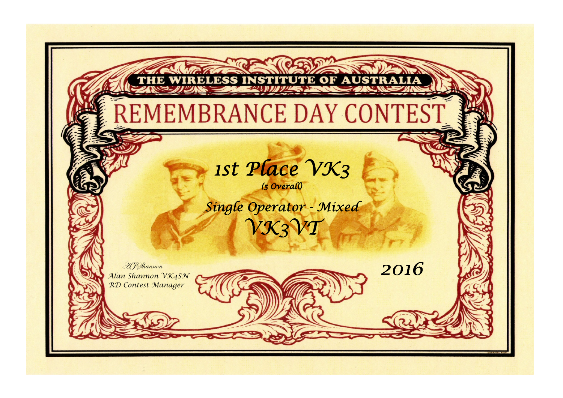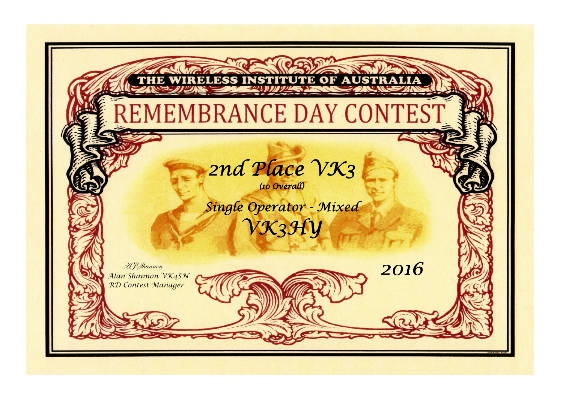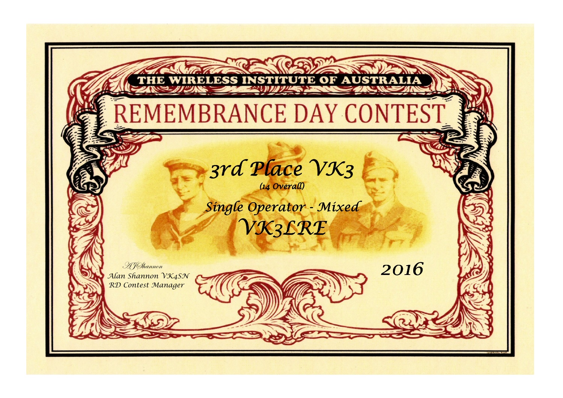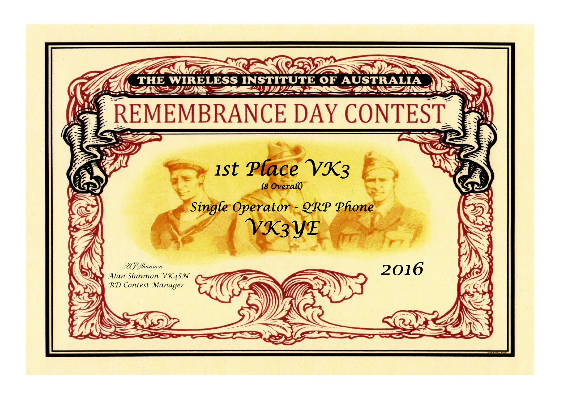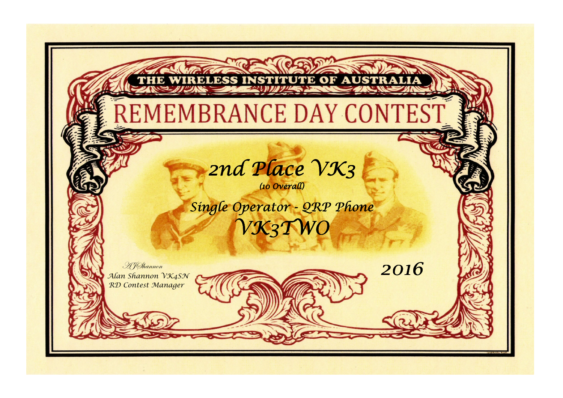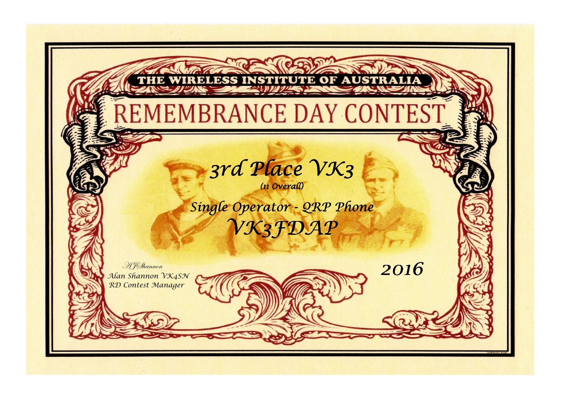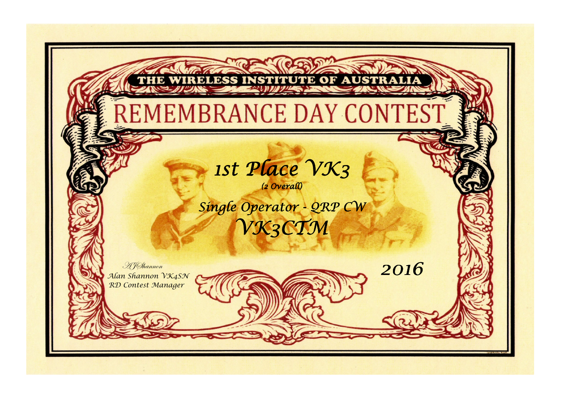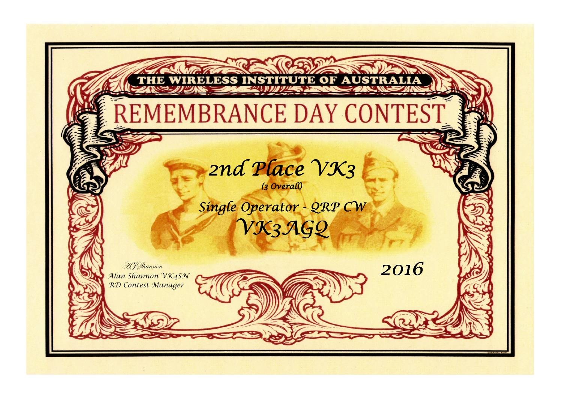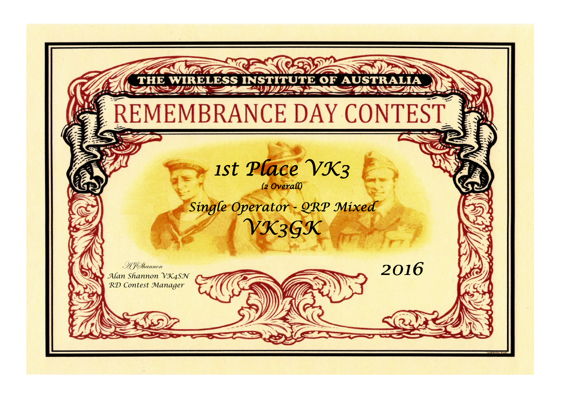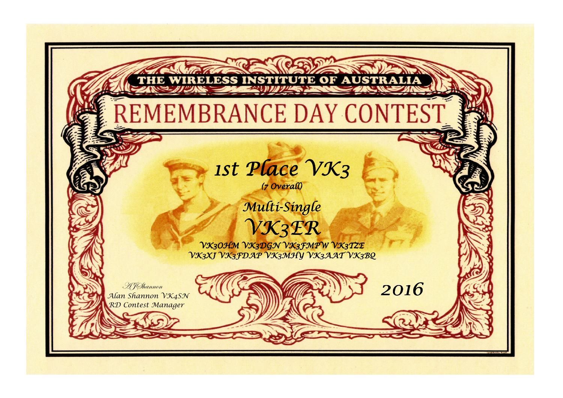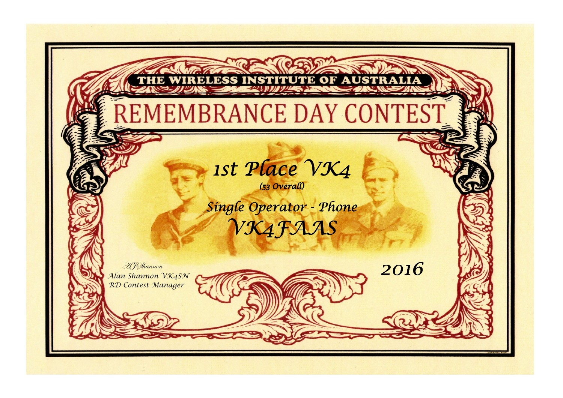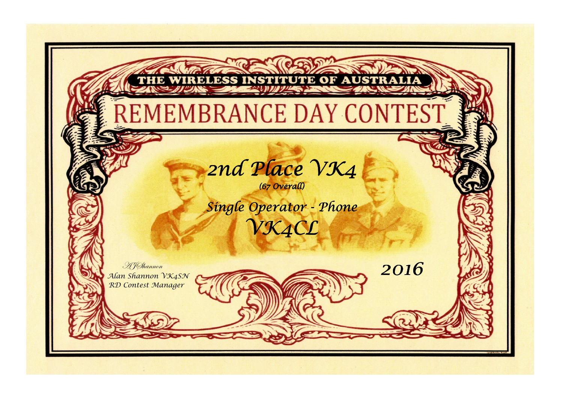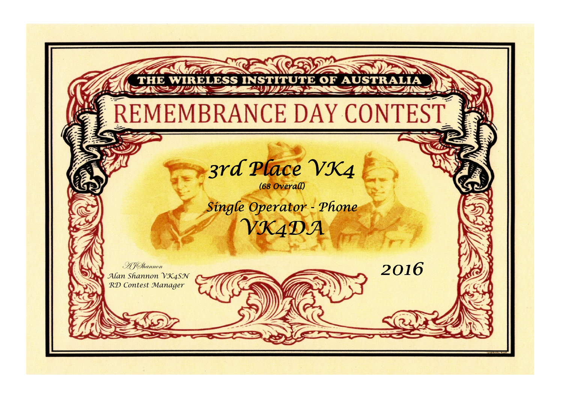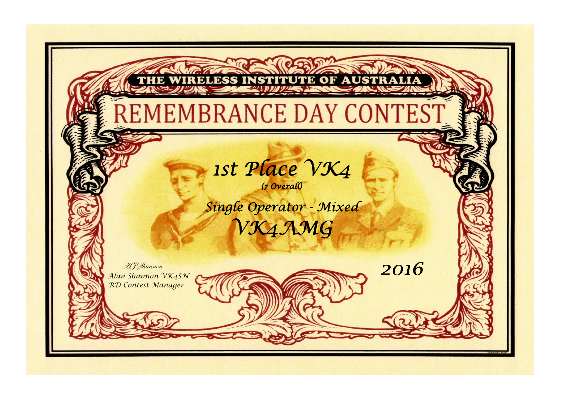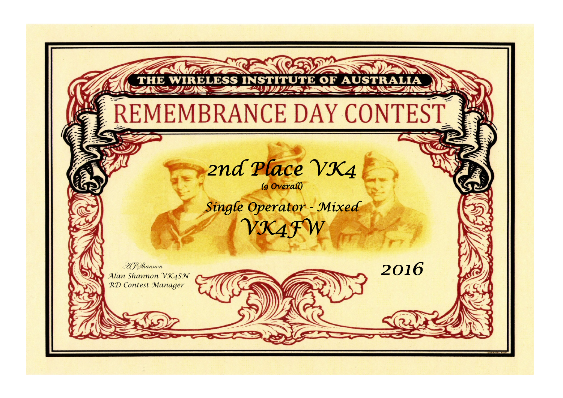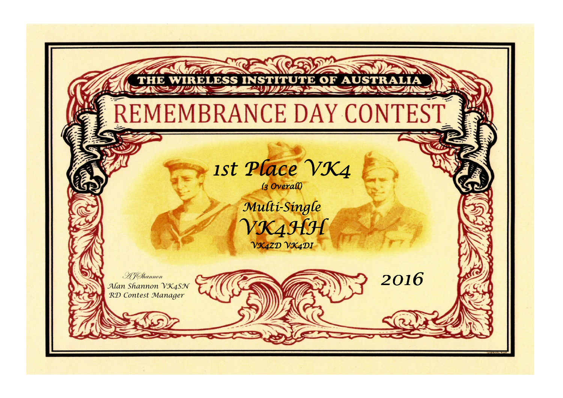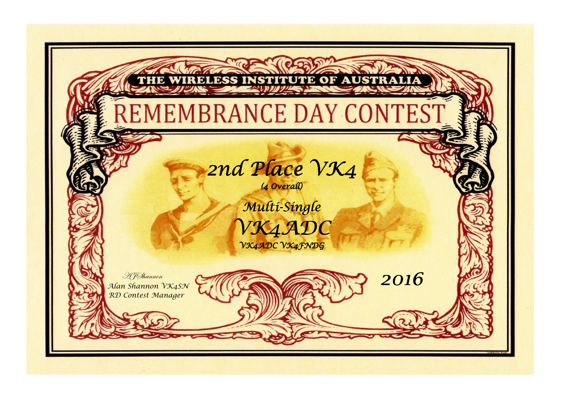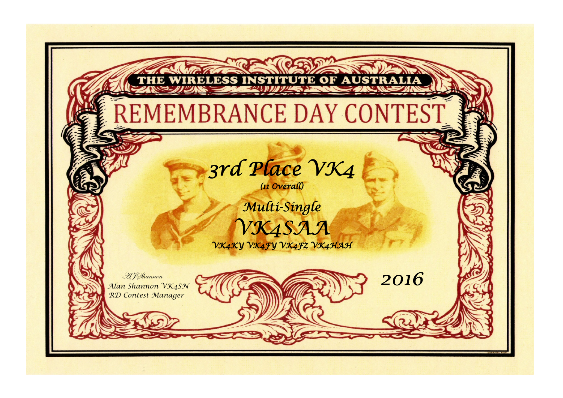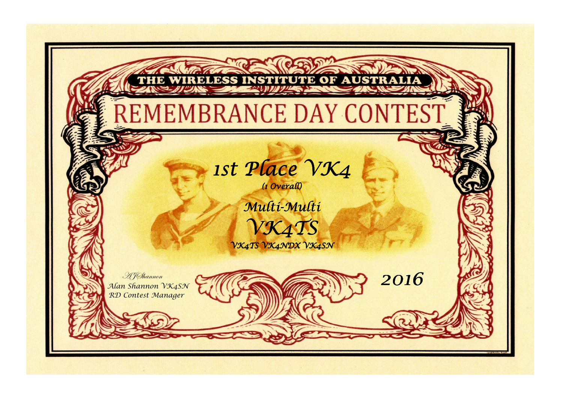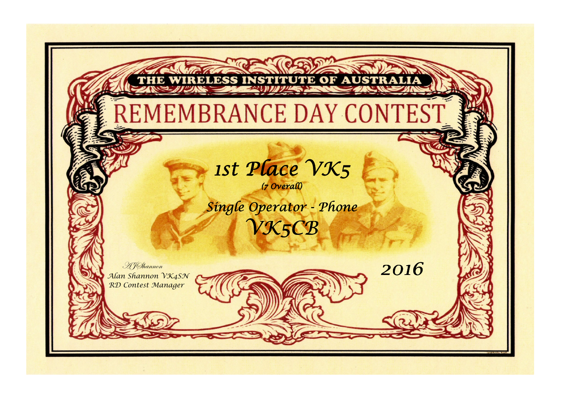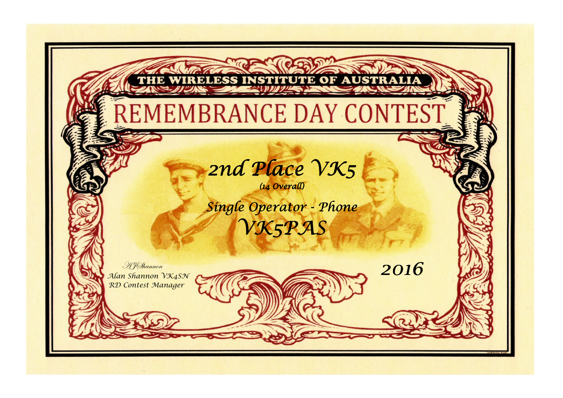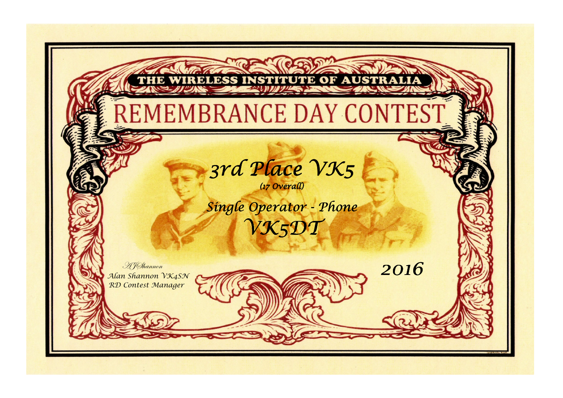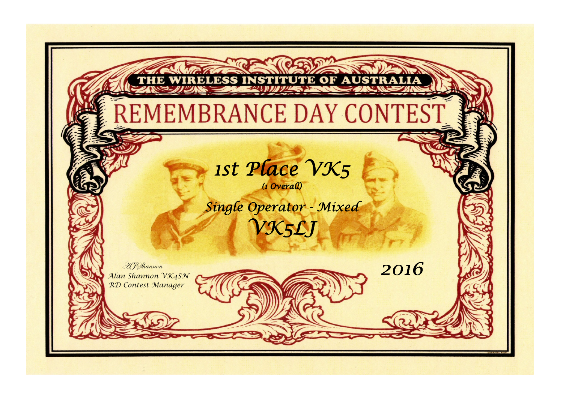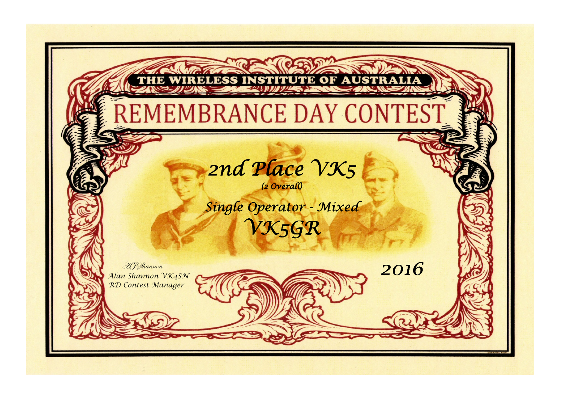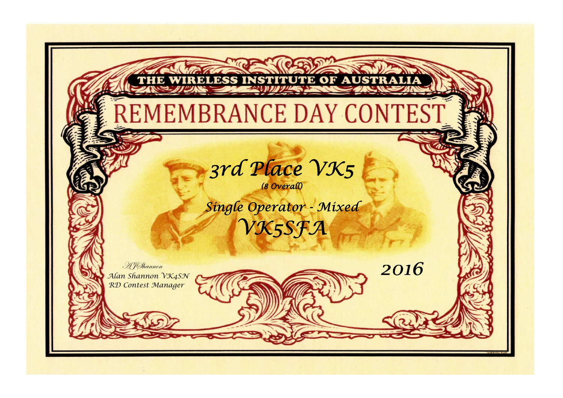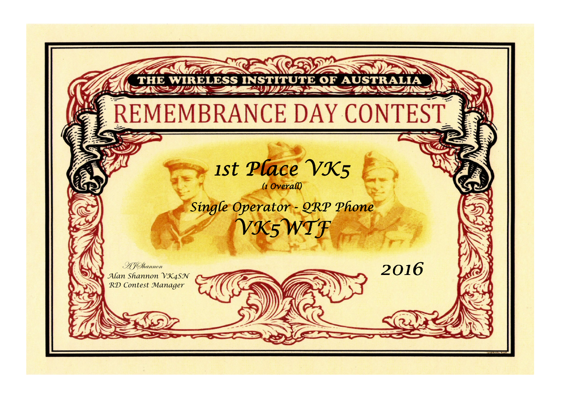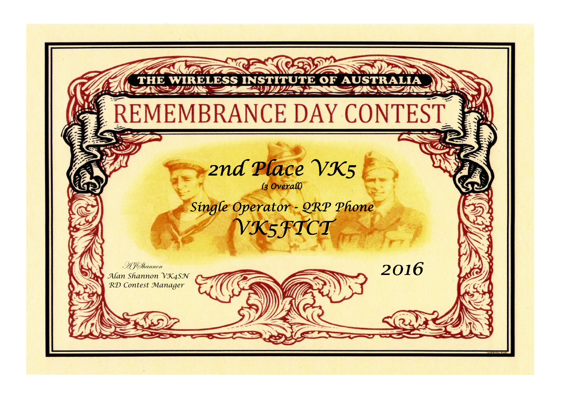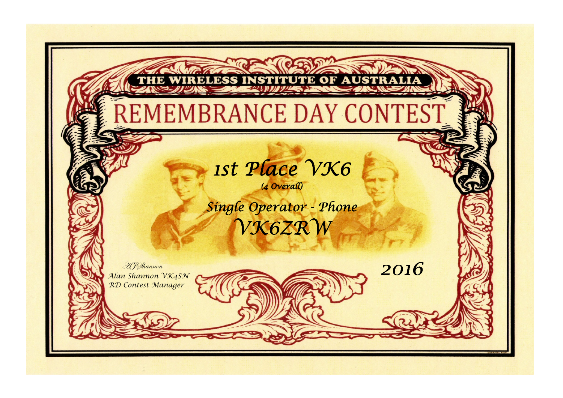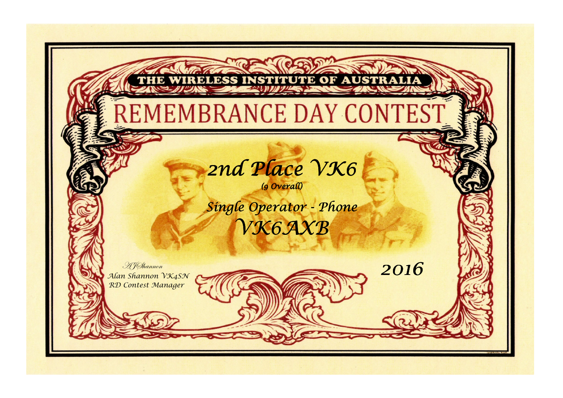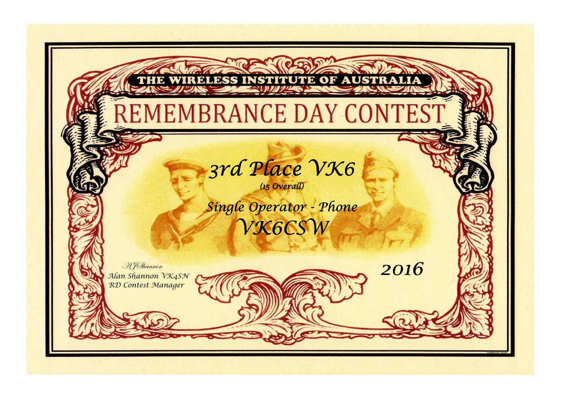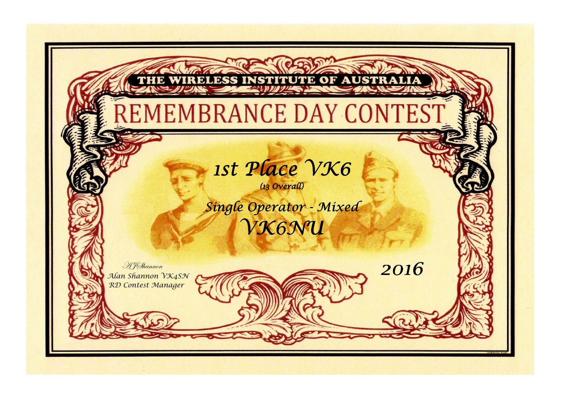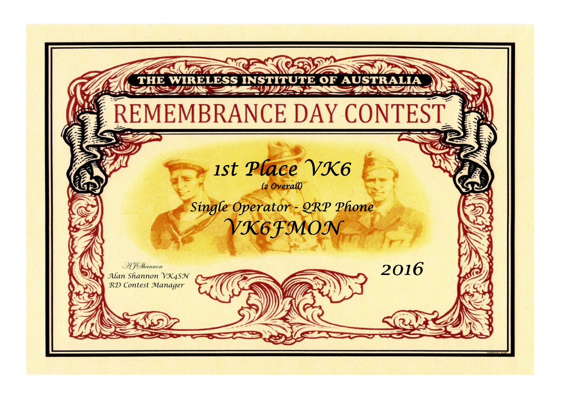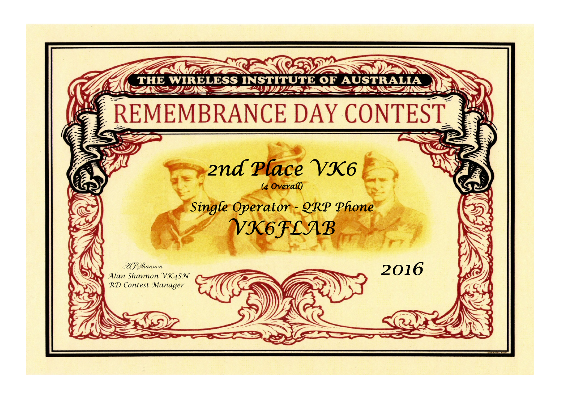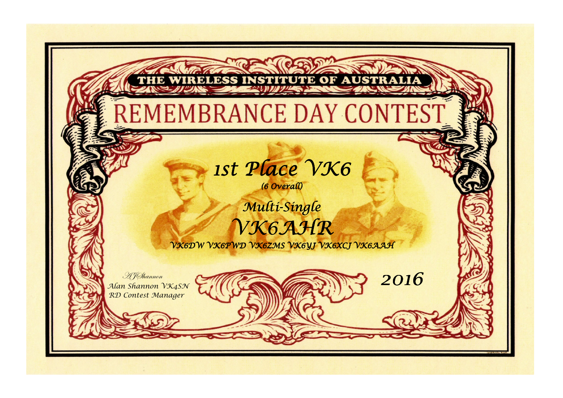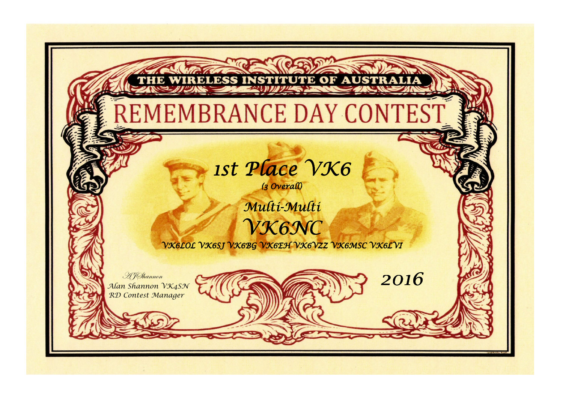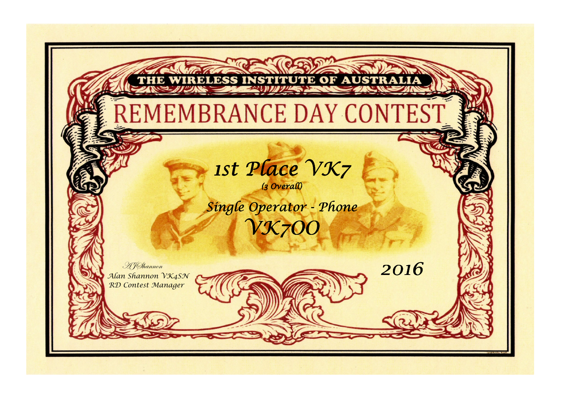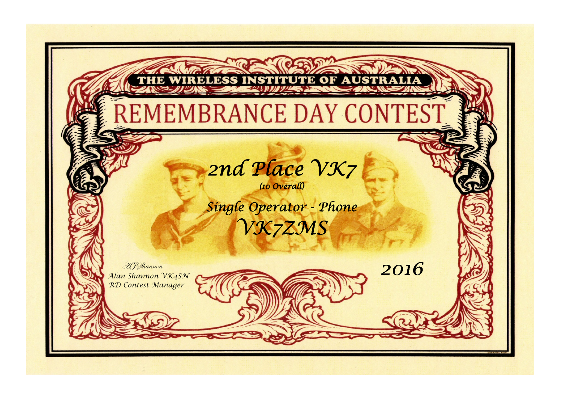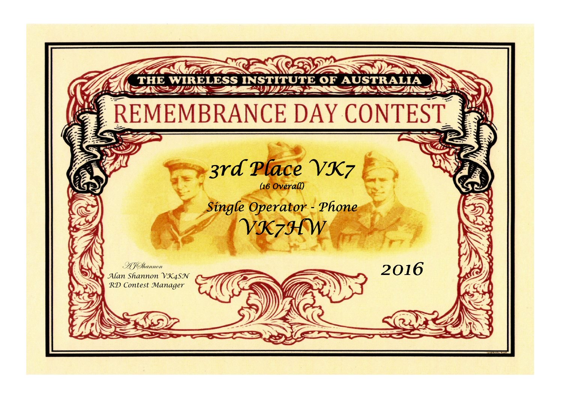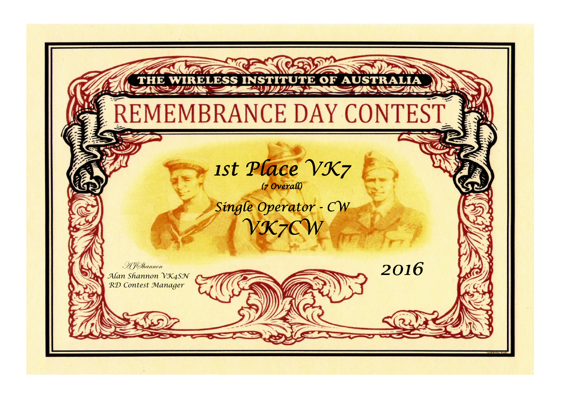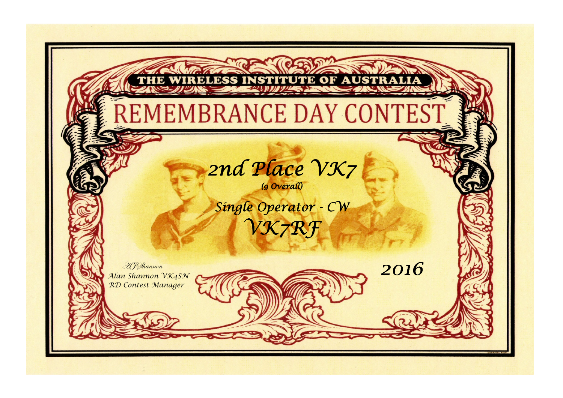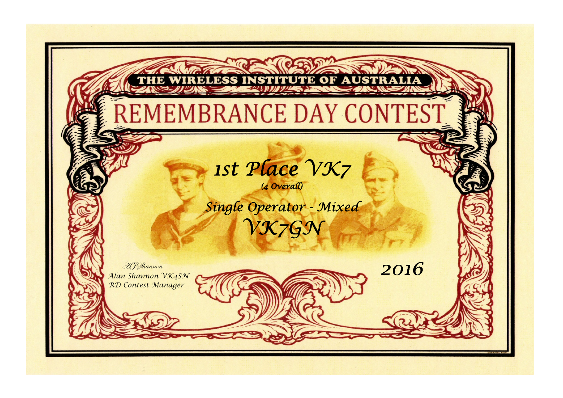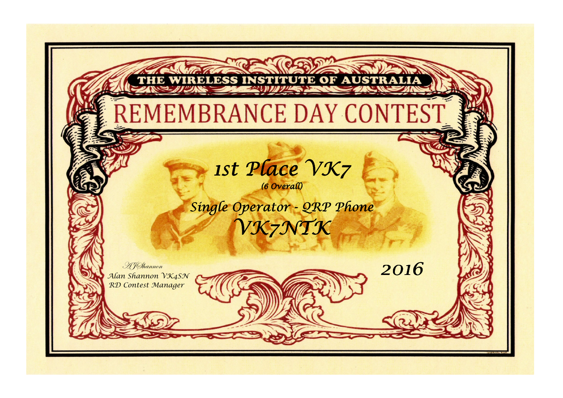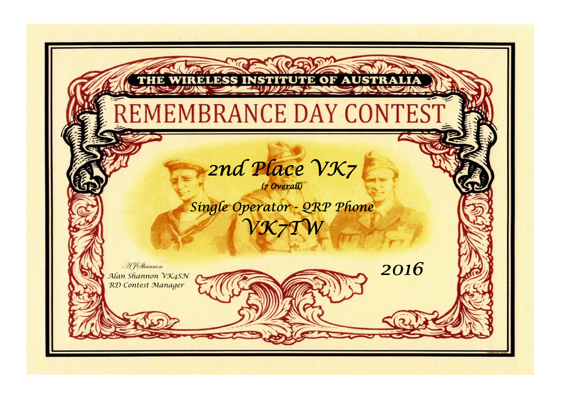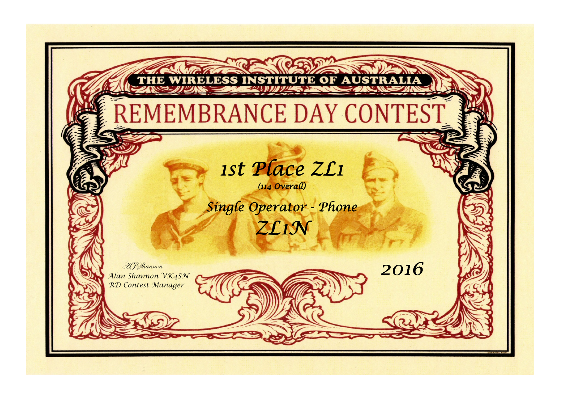